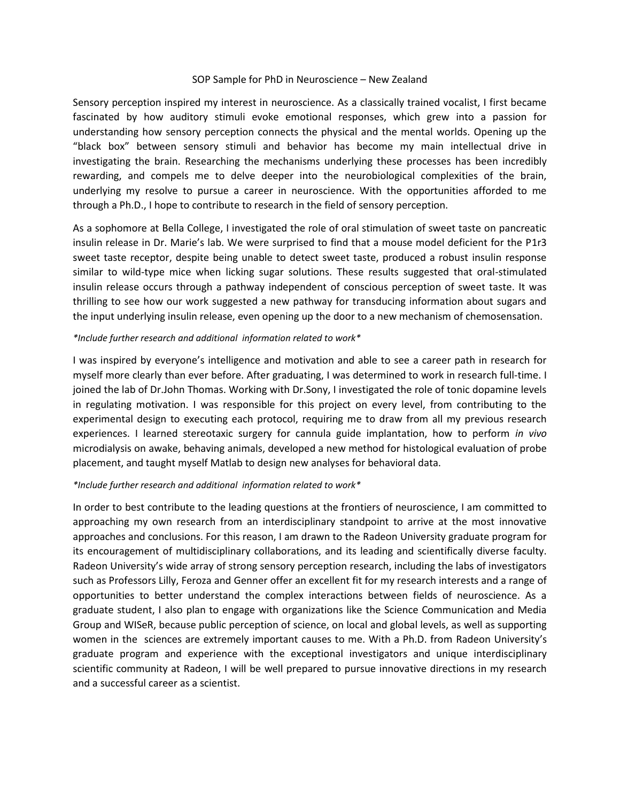## SOP Sample for PhD in Neuroscience – New Zealand

Sensory perception inspired my interest in neuroscience. As a classically trained vocalist, I first became fascinated by how auditory stimuli evoke emotional responses, which grew into a passion for understanding how sensory perception connects the physical and the mental worlds. Opening up the "black box" between sensory stimuli and behavior has become my main intellectual drive in investigating the brain. Researching the mechanisms underlying these processes has been incredibly rewarding, and compels me to delve deeper into the neurobiological complexities of the brain, underlying my resolve to pursue a career in neuroscience. With the opportunities afforded to me through a Ph.D., I hope to contribute to research in the field of sensory perception.

As a sophomore at Bella College, I investigated the role of oral stimulation of sweet taste on pancreatic insulin release in Dr. Marie's lab. We were surprised to find that a mouse model deficient for the P1r3 sweet taste receptor, despite being unable to detect sweet taste, produced a robust insulin response similar to wild-type mice when licking sugar solutions. These results suggested that oral-stimulated insulin release occurs through a pathway independent of conscious perception of sweet taste. It was thrilling to see how our work suggested a new pathway for transducing information about sugars and the input underlying insulin release, even opening up the door to a new mechanism of chemosensation.

## *\*Include further research and additional information related to work\**

I was inspired by everyone's intelligence and motivation and able to see a career path in research for myself more clearly than ever before. After graduating, I was determined to work in research full-time. I joined the lab of Dr.John Thomas. Working with Dr.Sony, I investigated the role of tonic dopamine levels in regulating motivation. I was responsible for this project on every level, from contributing to the experimental design to executing each protocol, requiring me to draw from all my previous research experiences. I learned stereotaxic surgery for cannula guide implantation, how to perform *in vivo* microdialysis on awake, behaving animals, developed a new method for histological evaluation of probe placement, and taught myself Matlab to design new analyses for behavioral data.

## *\*Include further research and additional information related to work\**

In order to best contribute to the leading questions at the frontiers of neuroscience, I am committed to approaching my own research from an interdisciplinary standpoint to arrive at the most innovative approaches and conclusions. For this reason, I am drawn to the Radeon University graduate program for its encouragement of multidisciplinary collaborations, and its leading and scientifically diverse faculty. Radeon University's wide array of strong sensory perception research, including the labs of investigators such as Professors Lilly, Feroza and Genner offer an excellent fit for my research interests and a range of opportunities to better understand the complex interactions between fields of neuroscience. As a graduate student, I also plan to engage with organizations like the Science Communication and Media Group and WISeR, because public perception of science, on local and global levels, as well as supporting women in the sciences are extremely important causes to me. With a Ph.D. from Radeon University's graduate program and experience with the exceptional investigators and unique interdisciplinary scientific community at Radeon, I will be well prepared to pursue innovative directions in my research and a successful career as a scientist.